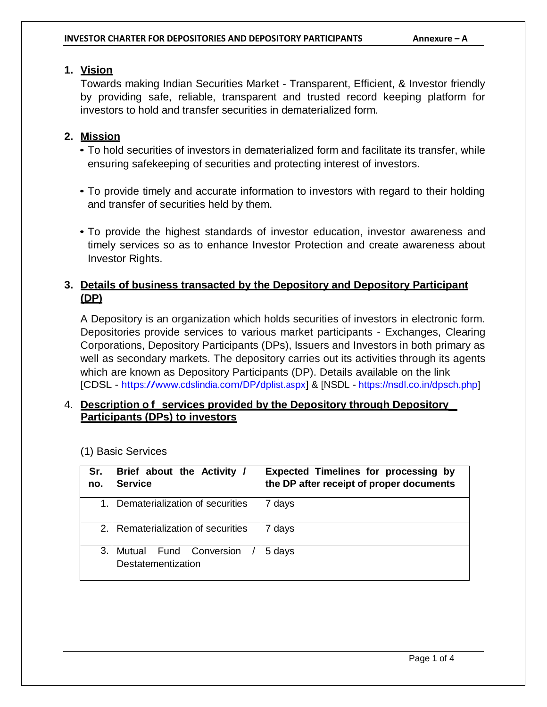### **1. Vision**

Towards making Indian Securities Market - Transparent, Efficient, & Investor friendly by providing safe, reliable, transparent and trusted record keeping platform for investors to hold and transfer securities in dematerialized form.

## **2. Mission**

- To hold securities of investors in dematerialized form and facilitate its transfer, while ensuring safekeeping of securities and protecting interest of investors.
- To provide timely and accurate information to investors with regard to their holding and transfer of securities held by them.
- To provide the highest standards of investor education, investor awareness and timely services so as to enhance Investor Protection and create awareness about Investor Rights.

## **3. Details of business transacted by the Depository and Depository Participant (DP)**

A Depository is an organization which holds securities of investors in electronic form. Depositories provide services to various market participants - Exchanges, Clearing Corporations, Depository Participants (DPs), Issuers and Investors in both primary as well as secondary markets. The depository carries out its activities through its agents which are known as Depository Participants (DP). Details available on the link [CDSL - [https://www.cdslindia.com/DP/dplist.aspx\]](https://www.cdslindia.com/DP/dplist.aspx) & [NSDL - <https://nsdl.co.in/dpsch.php>]

## 4. **Description o f services provided by the Depository through Depository Participants (DPs) to investors**

| Sr.<br>no.     | Brief about the Activity /<br><b>Service</b>    | <b>Expected Timelines for processing by</b><br>the DP after receipt of proper documents |
|----------------|-------------------------------------------------|-----------------------------------------------------------------------------------------|
|                | Dematerialization of securities                 | 7 days                                                                                  |
| 2 <sub>1</sub> | Rematerialization of securities                 | 7 days                                                                                  |
| 3.             | Mutual<br>Fund Conversion<br>Destatementization | 5 days                                                                                  |

(1) Basic Services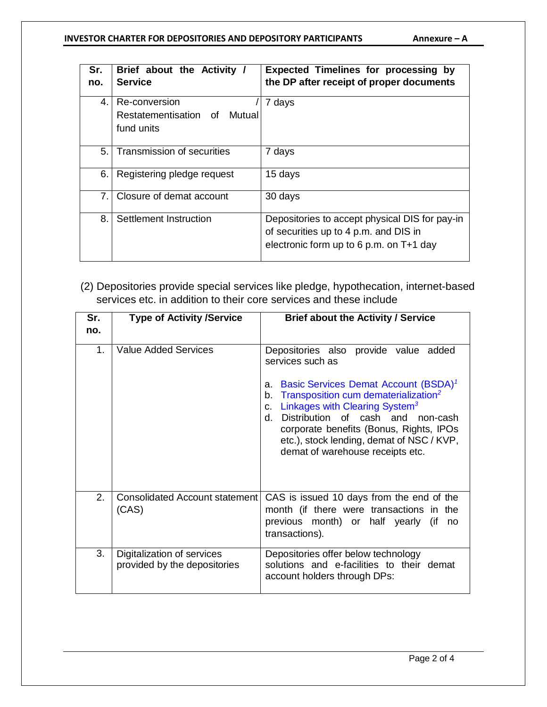#### **INVESTOR CHARTER FOR DEPOSITORIES AND DEPOSITORY PARTICIPANTS Annexure – A**

| Sr.<br>no. | Brief about the Activity /<br><b>Service</b>  | <b>Expected Timelines for processing by</b><br>the DP after receipt of proper documents                                            |
|------------|-----------------------------------------------|------------------------------------------------------------------------------------------------------------------------------------|
| 4.         | Re-conversion<br>Restatementisation of Mutual | 7 days                                                                                                                             |
|            | fund units                                    |                                                                                                                                    |
| 5.1        | Transmission of securities                    | 7 days                                                                                                                             |
| 6.         | Registering pledge request                    | 15 days                                                                                                                            |
| 7.1        | Closure of demat account                      | 30 days                                                                                                                            |
| 8.         | Settlement Instruction                        | Depositories to accept physical DIS for pay-in<br>of securities up to 4 p.m. and DIS in<br>electronic form up to 6 p.m. on T+1 day |

(2) Depositories provide special services like pledge, hypothecation, internet-based services etc. in addition to their core services and these include

| Sr.<br>no.                  | <b>Type of Activity /Service</b>                           | <b>Brief about the Activity / Service</b>                                                                                                                                                                                                                                                                                                                                                                     |
|-----------------------------|------------------------------------------------------------|---------------------------------------------------------------------------------------------------------------------------------------------------------------------------------------------------------------------------------------------------------------------------------------------------------------------------------------------------------------------------------------------------------------|
| 1.                          | <b>Value Added Services</b>                                | Depositories also provide value added<br>services such as<br>Basic Services Demat Account (BSDA) <sup>1</sup><br>a.<br>Transposition cum dematerialization <sup>2</sup><br>b.<br>Linkages with Clearing System <sup>3</sup><br>$C_{-}$<br>Distribution of cash and non-cash<br>d.<br>corporate benefits (Bonus, Rights, IPOs<br>etc.), stock lending, demat of NSC / KVP,<br>demat of warehouse receipts etc. |
| $\mathcal{P}_{\mathcal{C}}$ | <b>Consolidated Account statement</b><br>(CAS)             | CAS is issued 10 days from the end of the<br>month (if there were transactions in the<br>previous month) or half yearly (if<br>no<br>transactions).                                                                                                                                                                                                                                                           |
| 3.                          | Digitalization of services<br>provided by the depositories | Depositories offer below technology<br>solutions and e-facilities to their demat<br>account holders through DPs:                                                                                                                                                                                                                                                                                              |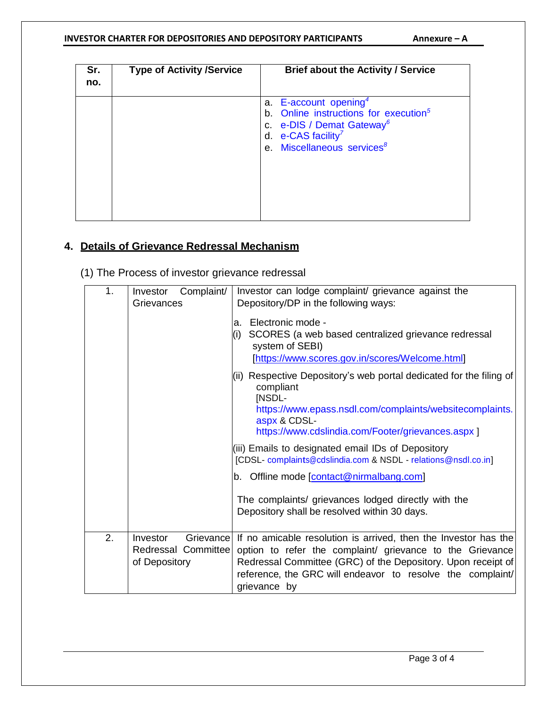#### **INVESTOR CHARTER FOR DEPOSITORIES AND DEPOSITORY PARTICIPANTS Annexure – A**

| Sr.<br>no. | <b>Type of Activity /Service</b> | <b>Brief about the Activity / Service</b>                                                                                                                                                                   |
|------------|----------------------------------|-------------------------------------------------------------------------------------------------------------------------------------------------------------------------------------------------------------|
|            |                                  | a. E-account opening <sup>4</sup><br>b. Online instructions for execution <sup>5</sup><br>c. e-DIS / Demat Gateway <sup>6</sup><br>d. e-CAS facility <sup>7</sup><br>e. Miscellaneous services <sup>8</sup> |

## **4. Details of Grievance Redressal Mechanism**

(1) The Process of investor grievance redressal

| 1. | Complaint/<br>Investor<br>Grievances                                 | Investor can lodge complaint/ grievance against the<br>Depository/DP in the following ways:                                                                                                                                                                                |
|----|----------------------------------------------------------------------|----------------------------------------------------------------------------------------------------------------------------------------------------------------------------------------------------------------------------------------------------------------------------|
|    |                                                                      | Electronic mode -<br>a.<br>SCORES (a web based centralized grievance redressal<br>(i)<br>system of SEBI)<br>[https://www.scores.gov.in/scores/Welcome.html]                                                                                                                |
|    |                                                                      | (ii) Respective Depository's web portal dedicated for the filing of<br>compliant<br>[NSDL-<br>https://www.epass.nsdl.com/complaints/websitecomplaints.<br>aspx & CDSL-<br>https://www.cdslindia.com/Footer/grievances.aspx ]                                               |
|    |                                                                      | (iii) Emails to designated email IDs of Depository<br>[CDSL- complaints@cdslindia.com & NSDL - relations@nsdl.co.in]                                                                                                                                                       |
|    |                                                                      | b. Offline mode [contact@nirmalbang.com]                                                                                                                                                                                                                                   |
|    |                                                                      | The complaints/ grievances lodged directly with the<br>Depository shall be resolved within 30 days.                                                                                                                                                                        |
| 2. | <b>Investor</b><br>Grievance<br>Redressal Committee<br>of Depository | If no amicable resolution is arrived, then the Investor has the<br>option to refer the complaint/ grievance to the Grievance<br>Redressal Committee (GRC) of the Depository. Upon receipt of<br>reference, the GRC will endeavor to resolve the complaint/<br>grievance by |